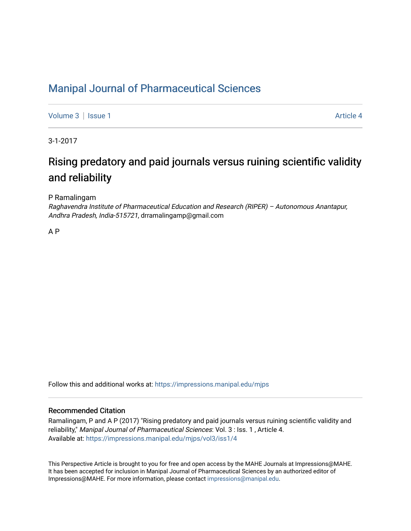### [Manipal Journal of Pharmaceutical Sciences](https://impressions.manipal.edu/mjps)

[Volume 3](https://impressions.manipal.edu/mjps/vol3) | [Issue 1](https://impressions.manipal.edu/mjps/vol3/iss1) Article 4

3-1-2017

# Rising predatory and paid journals versus ruining scientific validity and reliability

P Ramalingam

Raghavendra Institute of Pharmaceutical Education and Research (RIPER) – Autonomous Anantapur, Andhra Pradesh, India-515721, drramalingamp@gmail.com

A P

Follow this and additional works at: [https://impressions.manipal.edu/mjps](https://impressions.manipal.edu/mjps?utm_source=impressions.manipal.edu%2Fmjps%2Fvol3%2Fiss1%2F4&utm_medium=PDF&utm_campaign=PDFCoverPages)

#### Recommended Citation

Ramalingam, P and A P (2017) "Rising predatory and paid journals versus ruining scientific validity and reliability," Manipal Journal of Pharmaceutical Sciences: Vol. 3 : Iss. 1 , Article 4. Available at: [https://impressions.manipal.edu/mjps/vol3/iss1/4](https://impressions.manipal.edu/mjps/vol3/iss1/4?utm_source=impressions.manipal.edu%2Fmjps%2Fvol3%2Fiss1%2F4&utm_medium=PDF&utm_campaign=PDFCoverPages)

This Perspective Article is brought to you for free and open access by the MAHE Journals at Impressions@MAHE. It has been accepted for inclusion in Manipal Journal of Pharmaceutical Sciences by an authorized editor of Impressions@MAHE. For more information, please contact [impressions@manipal.edu](mailto:impressions@manipal.edu).